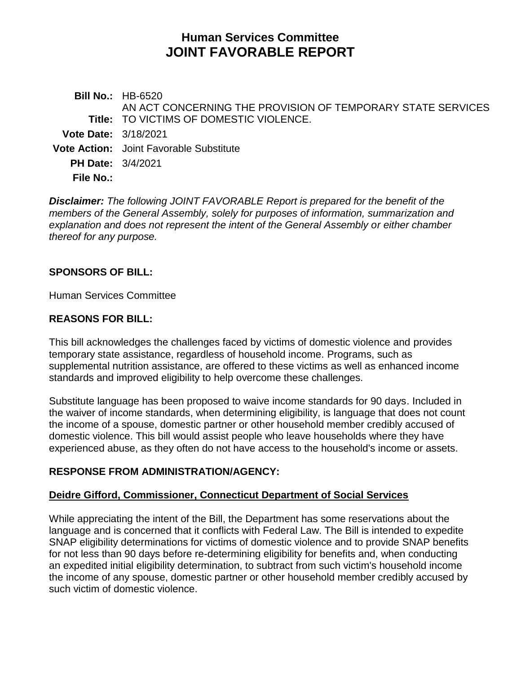# **Human Services Committee JOINT FAVORABLE REPORT**

**Bill No.:** HB-6520 **Title:** TO VICTIMS OF DOMESTIC VIOLENCE. AN ACT CONCERNING THE PROVISION OF TEMPORARY STATE SERVICES **Vote Date:** 3/18/2021 **Vote Action:** Joint Favorable Substitute **PH Date:** 3/4/2021 **File No.:**

*Disclaimer: The following JOINT FAVORABLE Report is prepared for the benefit of the members of the General Assembly, solely for purposes of information, summarization and explanation and does not represent the intent of the General Assembly or either chamber thereof for any purpose.*

### **SPONSORS OF BILL:**

Human Services Committee

### **REASONS FOR BILL:**

This bill acknowledges the challenges faced by victims of domestic violence and provides temporary state assistance, regardless of household income. Programs, such as supplemental nutrition assistance, are offered to these victims as well as enhanced income standards and improved eligibility to help overcome these challenges.

Substitute language has been proposed to waive income standards for 90 days. Included in the waiver of income standards, when determining eligibility, is language that does not count the income of a spouse, domestic partner or other household member credibly accused of domestic violence. This bill would assist people who leave households where they have experienced abuse, as they often do not have access to the household's income or assets.

### **RESPONSE FROM ADMINISTRATION/AGENCY:**

# **Deidre Gifford, Commissioner, Connecticut Department of Social Services**

While appreciating the intent of the Bill, the Department has some reservations about the language and is concerned that it conflicts with Federal Law. The Bill is intended to expedite SNAP eligibility determinations for victims of domestic violence and to provide SNAP benefits for not less than 90 days before re-determining eligibility for benefits and, when conducting an expedited initial eligibility determination, to subtract from such victim's household income the income of any spouse, domestic partner or other household member credibly accused by such victim of domestic violence.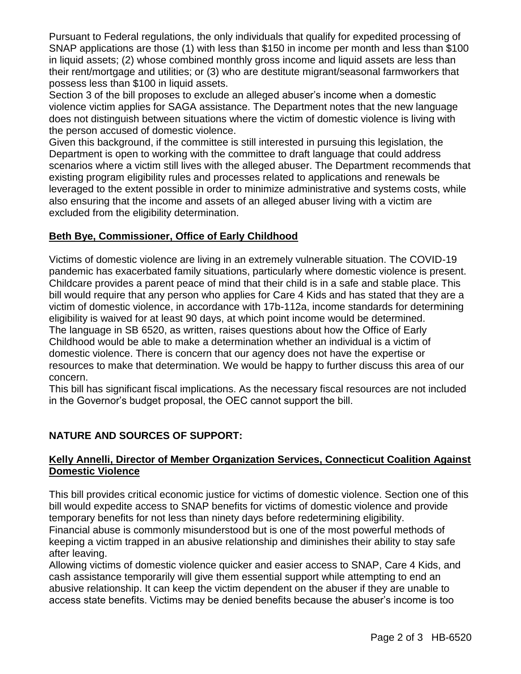Pursuant to Federal regulations, the only individuals that qualify for expedited processing of SNAP applications are those (1) with less than \$150 in income per month and less than \$100 in liquid assets; (2) whose combined monthly gross income and liquid assets are less than their rent/mortgage and utilities; or (3) who are destitute migrant/seasonal farmworkers that possess less than \$100 in liquid assets.

Section 3 of the bill proposes to exclude an alleged abuser's income when a domestic violence victim applies for SAGA assistance. The Department notes that the new language does not distinguish between situations where the victim of domestic violence is living with the person accused of domestic violence.

Given this background, if the committee is still interested in pursuing this legislation, the Department is open to working with the committee to draft language that could address scenarios where a victim still lives with the alleged abuser. The Department recommends that existing program eligibility rules and processes related to applications and renewals be leveraged to the extent possible in order to minimize administrative and systems costs, while also ensuring that the income and assets of an alleged abuser living with a victim are excluded from the eligibility determination.

# **Beth Bye, Commissioner, Office of Early Childhood**

Victims of domestic violence are living in an extremely vulnerable situation. The COVID-19 pandemic has exacerbated family situations, particularly where domestic violence is present. Childcare provides a parent peace of mind that their child is in a safe and stable place. This bill would require that any person who applies for Care 4 Kids and has stated that they are a victim of domestic violence, in accordance with 17b-112a, income standards for determining eligibility is waived for at least 90 days, at which point income would be determined. The language in SB 6520, as written, raises questions about how the Office of Early Childhood would be able to make a determination whether an individual is a victim of domestic violence. There is concern that our agency does not have the expertise or resources to make that determination. We would be happy to further discuss this area of our concern.

This bill has significant fiscal implications. As the necessary fiscal resources are not included in the Governor's budget proposal, the OEC cannot support the bill.

# **NATURE AND SOURCES OF SUPPORT:**

### **Kelly Annelli, Director of Member Organization Services, Connecticut Coalition Against Domestic Violence**

This bill provides critical economic justice for victims of domestic violence. Section one of this bill would expedite access to SNAP benefits for victims of domestic violence and provide temporary benefits for not less than ninety days before redetermining eligibility.

Financial abuse is commonly misunderstood but is one of the most powerful methods of keeping a victim trapped in an abusive relationship and diminishes their ability to stay safe after leaving.

Allowing victims of domestic violence quicker and easier access to SNAP, Care 4 Kids, and cash assistance temporarily will give them essential support while attempting to end an abusive relationship. It can keep the victim dependent on the abuser if they are unable to access state benefits. Victims may be denied benefits because the abuser's income is too